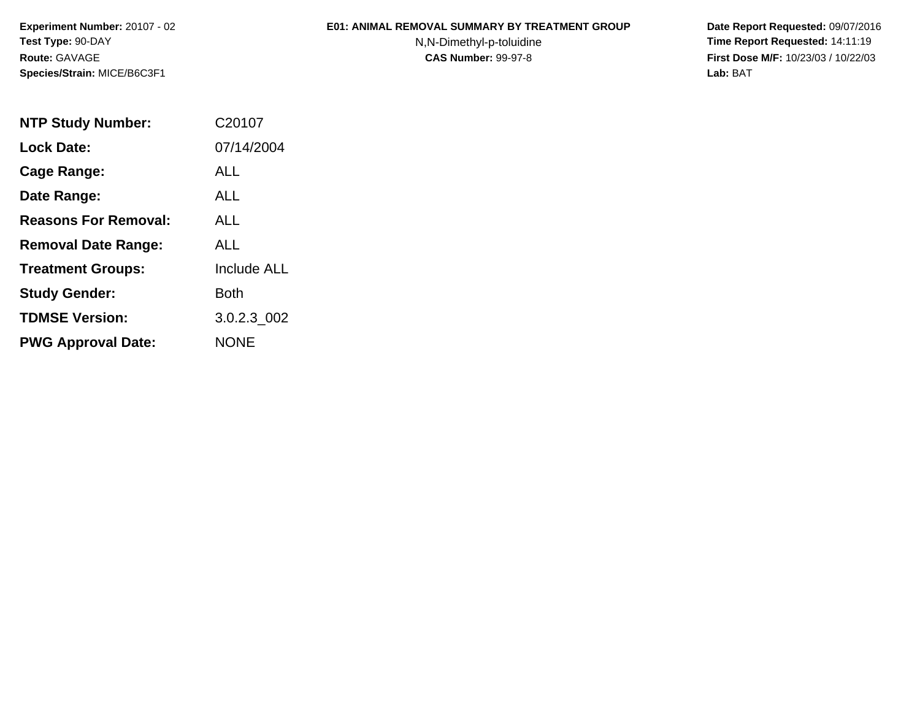**Experiment Number:** 20107 - 02**Test Type:** 90-DAY**Route:** GAVAGE**Species/Strain:** MICE/B6C3F1

## **E01: ANIMAL REMOVAL SUMMARY BY TREATMENT GROUP**

N,N-Dimethyl-p-toluidine

 **Date Report Requested:** 09/07/2016 **Time Report Requested:** 14:11:19 **First Dose M/F:** 10/23/03 / 10/22/03<br>Lab: BAT **Lab:** BAT

| <b>NTP Study Number:</b>    | C20107             |
|-----------------------------|--------------------|
| <b>Lock Date:</b>           | 07/14/2004         |
| Cage Range:                 | ALL                |
| Date Range:                 | ALL                |
| <b>Reasons For Removal:</b> | ALL                |
| <b>Removal Date Range:</b>  | ALL                |
| <b>Treatment Groups:</b>    | <b>Include ALL</b> |
| <b>Study Gender:</b>        | <b>Both</b>        |
| <b>TDMSE Version:</b>       | 3.0.2.3 002        |
| <b>PWG Approval Date:</b>   | <b>NONE</b>        |